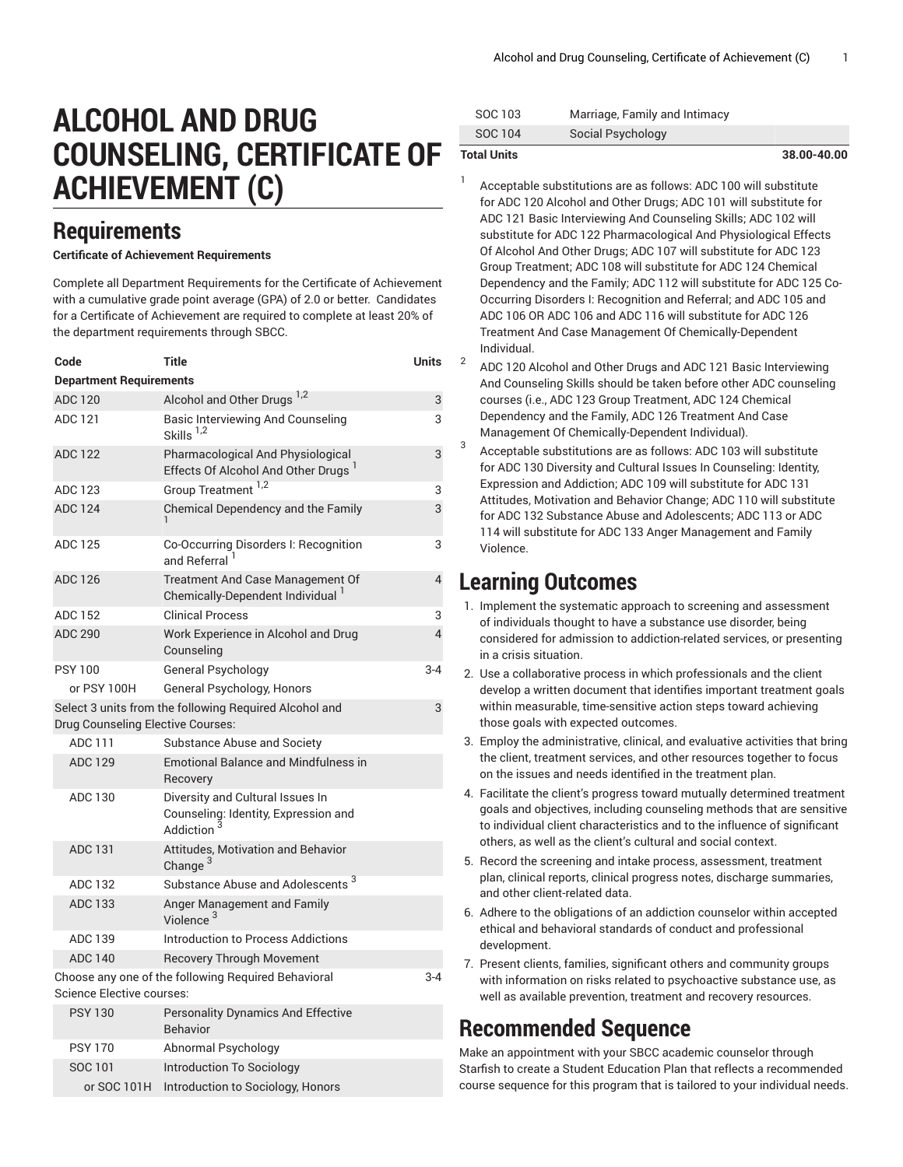# **ALCOHOL AND DRUG COUNSELING, CERTIFICATE OF ACHIEVEMENT (C)**

### **Requirements**

### **Certificate of Achievement Requirements**

Complete all Department Requirements for the Certificate of Achievement with a cumulative grade point average (GPA) of 2.0 or better. Candidates for a Certificate of Achievement are required to complete at least 20% of the department requirements through SBCC.

| Code                                                                                        | Title                                                                                 | Units          |  |  |
|---------------------------------------------------------------------------------------------|---------------------------------------------------------------------------------------|----------------|--|--|
| <b>Department Requirements</b>                                                              |                                                                                       |                |  |  |
| <b>ADC 120</b>                                                                              | Alcohol and Other Drugs <sup>1,2</sup>                                                | 3              |  |  |
| ADC 121                                                                                     | <b>Basic Interviewing And Counseling</b><br>Skills <sup>1,2</sup>                     | 3              |  |  |
| <b>ADC 122</b>                                                                              | Pharmacological And Physiological<br>Effects Of Alcohol And Other Drugs <sup>1</sup>  | 3              |  |  |
| ADC 123                                                                                     | Group Treatment <sup>1,2</sup>                                                        | 3              |  |  |
| <b>ADC 124</b>                                                                              | Chemical Dependency and the Family                                                    | 3              |  |  |
| ADC 125                                                                                     | Co-Occurring Disorders I: Recognition<br>and Referral                                 | 3              |  |  |
| <b>ADC 126</b>                                                                              | Treatment And Case Management Of<br>Chemically-Dependent Individual <sup>1</sup>      | $\overline{4}$ |  |  |
| <b>ADC 152</b>                                                                              | <b>Clinical Process</b>                                                               | 3              |  |  |
| <b>ADC 290</b>                                                                              | Work Experience in Alcohol and Drug<br>Counseling                                     | 4              |  |  |
| <b>PSY 100</b>                                                                              | General Psychology                                                                    | $3 - 4$        |  |  |
| or PSY 100H                                                                                 | General Psychology, Honors                                                            |                |  |  |
| Drug Counseling Elective Courses:                                                           | Select 3 units from the following Required Alcohol and                                | 3              |  |  |
| ADC 111                                                                                     | Substance Abuse and Society                                                           |                |  |  |
| <b>ADC 129</b>                                                                              | <b>Emotional Balance and Mindfulness in</b><br>Recovery                               |                |  |  |
| ADC 130                                                                                     | Diversity and Cultural Issues In<br>Counseling: Identity, Expression and<br>Addiction |                |  |  |
| ADC 131                                                                                     | <b>Attitudes, Motivation and Behavior</b><br>Change <sup>3</sup>                      |                |  |  |
| <b>ADC 132</b>                                                                              | Substance Abuse and Adolescents <sup>3</sup>                                          |                |  |  |
| ADC 133                                                                                     | Anger Management and Family<br>Violence <sup>3</sup>                                  |                |  |  |
| ADC 139                                                                                     | Introduction to Process Addictions                                                    |                |  |  |
| <b>ADC 140</b>                                                                              | <b>Recovery Through Movement</b>                                                      |                |  |  |
| Choose any one of the following Required Behavioral<br>$3 - 4$<br>Science Elective courses: |                                                                                       |                |  |  |
| <b>PSY 130</b>                                                                              | <b>Personality Dynamics And Effective</b><br><b>Behavior</b>                          |                |  |  |
| <b>PSY 170</b>                                                                              | Abnormal Psychology                                                                   |                |  |  |
| SOC 101                                                                                     | Introduction To Sociology                                                             |                |  |  |
| or SOC 101H                                                                                 | Introduction to Sociology, Honors                                                     |                |  |  |

| <b>Total Units</b> |                               | 38.00-40.00 |
|--------------------|-------------------------------|-------------|
| SOC 104            | Social Psychology             |             |
| SOC 103            | Marriage, Family and Intimacy |             |

1

3

Acceptable substitutions are as follows: ADC 100 will substitute for ADC 120 Alcohol and Other Drugs; ADC 101 will substitute for ADC 121 Basic Interviewing And Counseling Skills; ADC 102 will substitute for ADC 122 Pharmacological And Physiological Effects Of Alcohol And Other Drugs; ADC 107 will substitute for ADC 123 Group Treatment; ADC 108 will substitute for ADC 124 Chemical Dependency and the Family; ADC 112 will substitute for ADC 125 Co-Occurring Disorders I: Recognition and Referral; and ADC 105 and ADC 106 OR ADC 106 and ADC 116 will substitute for ADC 126 Treatment And Case Management Of Chemically-Dependent Individual.

2 ADC 120 Alcohol and Other Drugs and ADC 121 Basic Interviewing And Counseling Skills should be taken before other ADC counseling courses (i.e., ADC 123 Group Treatment, ADC 124 Chemical Dependency and the Family, ADC 126 Treatment And Case Management Of Chemically-Dependent Individual).

Acceptable substitutions are as follows: ADC 103 will substitute for ADC 130 Diversity and Cultural Issues In Counseling: Identity, Expression and Addiction; ADC 109 will substitute for ADC 131 Attitudes, Motivation and Behavior Change; ADC 110 will substitute for ADC 132 Substance Abuse and Adolescents; ADC 113 or ADC 114 will substitute for ADC 133 Anger Management and Family Violence.

### **Learning Outcomes**

- 1. Implement the systematic approach to screening and assessment of individuals thought to have a substance use disorder, being considered for admission to addiction-related services, or presenting in a crisis situation.
- 2. Use a collaborative process in which professionals and the client develop a written document that identifies important treatment goals within measurable, time-sensitive action steps toward achieving those goals with expected outcomes.
- 3. Employ the administrative, clinical, and evaluative activities that bring the client, treatment services, and other resources together to focus on the issues and needs identified in the treatment plan.
- 4. Facilitate the client's progress toward mutually determined treatment goals and objectives, including counseling methods that are sensitive to individual client characteristics and to the influence of significant others, as well as the client's cultural and social context.
- 5. Record the screening and intake process, assessment, treatment plan, clinical reports, clinical progress notes, discharge summaries, and other client-related data.
- 6. Adhere to the obligations of an addiction counselor within accepted ethical and behavioral standards of conduct and professional development.
- 7. Present clients, families, significant others and community groups with information on risks related to psychoactive substance use, as well as available prevention, treatment and recovery resources.

## **Recommended Sequence**

Make an appointment with your SBCC academic counselor through Starfish to create a Student Education Plan that reflects a recommended course sequence for this program that is tailored to your individual needs.